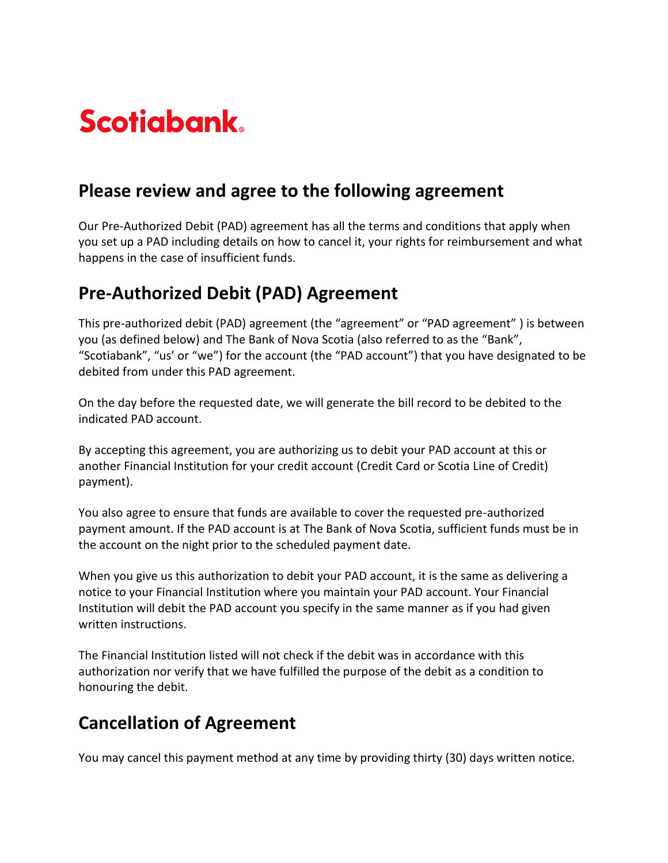# **Scotiabank**

#### **Please review and agree to the following agreement**

Our Pre-Authorized Debit (PAD) agreement has all the terms and conditions that apply when you set up a PAD including details on how to cancel it, your rights for reimbursement and what happens in the case of insufficient funds.

## **Pre-Authorized Debit (PAD) Agreement**

This pre-authorized debit (PAD) agreement (the "agreement" or "PAD agreement" ) is between you (as defined below) and The Bank of Nova Scotia (also referred to as the "Bank", "Scotiabank", "us' or "we") for the account (the "PAD account") that you have designated to be debited from under this PAD agreement.

On the day before the requested date, we will generate the bill record to be debited to the indicated PAD account.

By accepting this agreement, you are authorizing us to debit your PAD account at this or another Financial Institution for your credit account (Credit Card or Scotia Line of Credit) payment).

You also agree to ensure that funds are available to cover the requested pre-authorized payment amount. If the PAD account is at The Bank of Nova Scotia, sufficient funds must be in the account on the night prior to the scheduled payment date.

When you give us this authorization to debit your PAD account, it is the same as delivering a notice to your Financial Institution where you maintain your PAD account. Your Financial Institution will debit the PAD account you specify in the same manner as if you had given written instructions.

The Financial Institution listed will not check if the debit was in accordance with this authorization nor verify that we have fulfilled the purpose of the debit as a condition to honouring the debit.

### **Cancellation of Agreement**

You may cancel this payment method at any time by providing thirty (30) days written notice.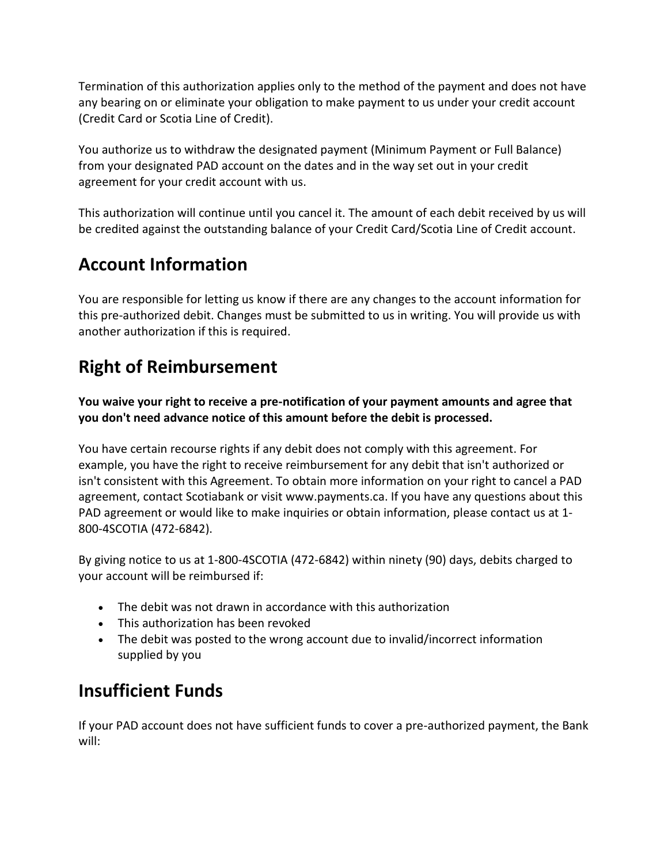Termination of this authorization applies only to the method of the payment and does not have any bearing on or eliminate your obligation to make payment to us under your credit account (Credit Card or Scotia Line of Credit).

You authorize us to withdraw the designated payment (Minimum Payment or Full Balance) from your designated PAD account on the dates and in the way set out in your credit agreement for your credit account with us.

This authorization will continue until you cancel it. The amount of each debit received by us will be credited against the outstanding balance of your Credit Card/Scotia Line of Credit account.

# **Account Information**

You are responsible for letting us know if there are any changes to the account information for this pre-authorized debit. Changes must be submitted to us in writing. You will provide us with another authorization if this is required.

# **Right of Reimbursement**

**You waive your right to receive a pre-notification of your payment amounts and agree that you don't need advance notice of this amount before the debit is processed.**

You have certain recourse rights if any debit does not comply with this agreement. For example, you have the right to receive reimbursement for any debit that isn't authorized or isn't consistent with this Agreement. To obtain more information on your right to cancel a PAD agreement, contact Scotiabank or visit [www.payments.ca.](https://www.payments.ca/) If you have any questions about this PAD agreement or would like to make inquiries or obtain information, please contact us at 1- 800-4SCOTIA (472-6842).

By giving notice to us at 1-800-4SCOTIA (472-6842) within ninety (90) days, debits charged to your account will be reimbursed if:

- The debit was not drawn in accordance with this authorization
- This authorization has been revoked
- The debit was posted to the wrong account due to invalid/incorrect information supplied by you

# **Insufficient Funds**

If your PAD account does not have sufficient funds to cover a pre-authorized payment, the Bank will: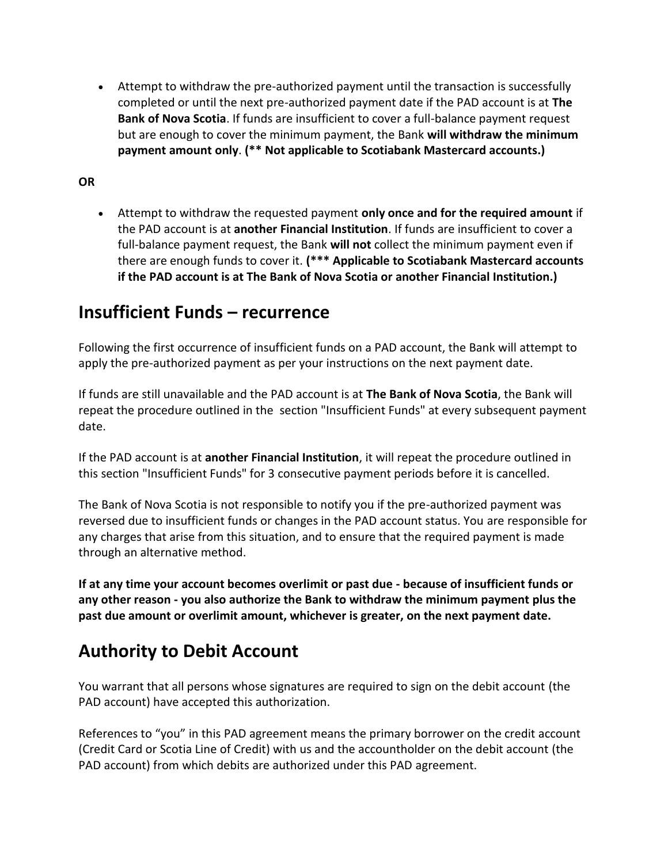• Attempt to withdraw the pre-authorized payment until the transaction is successfully completed or until the next pre-authorized payment date if the PAD account is at **The Bank of Nova Scotia**. If funds are insufficient to cover a full-balance payment request but are enough to cover the minimum payment, the Bank **will withdraw the minimum payment amount only**. **(\*\* Not applicable to Scotiabank Mastercard accounts.)**

#### **OR**

• Attempt to withdraw the requested payment **only once and for the required amount** if the PAD account is at **another Financial Institution**. If funds are insufficient to cover a full-balance payment request, the Bank **will not** collect the minimum payment even if there are enough funds to cover it. **(\*\*\* Applicable to Scotiabank Mastercard accounts if the PAD account is at The Bank of Nova Scotia or another Financial Institution.)**

#### **Insufficient Funds – recurrence**

Following the first occurrence of insufficient funds on a PAD account, the Bank will attempt to apply the pre-authorized payment as per your instructions on the next payment date.

If funds are still unavailable and the PAD account is at **The Bank of Nova Scotia**, the Bank will repeat the procedure outlined in the section "Insufficient Funds" at every subsequent payment date.

If the PAD account is at **another Financial Institution**, it will repeat the procedure outlined in this section "Insufficient Funds" for 3 consecutive payment periods before it is cancelled.

The Bank of Nova Scotia is not responsible to notify you if the pre-authorized payment was reversed due to insufficient funds or changes in the PAD account status. You are responsible for any charges that arise from this situation, and to ensure that the required payment is made through an alternative method.

**If at any time your account becomes overlimit or past due - because of insufficient funds or any other reason - you also authorize the Bank to withdraw the minimum payment plus the past due amount or overlimit amount, whichever is greater, on the next payment date.**

### **Authority to Debit Account**

You warrant that all persons whose signatures are required to sign on the debit account (the PAD account) have accepted this authorization.

References to "you" in this PAD agreement means the primary borrower on the credit account (Credit Card or Scotia Line of Credit) with us and the accountholder on the debit account (the PAD account) from which debits are authorized under this PAD agreement.